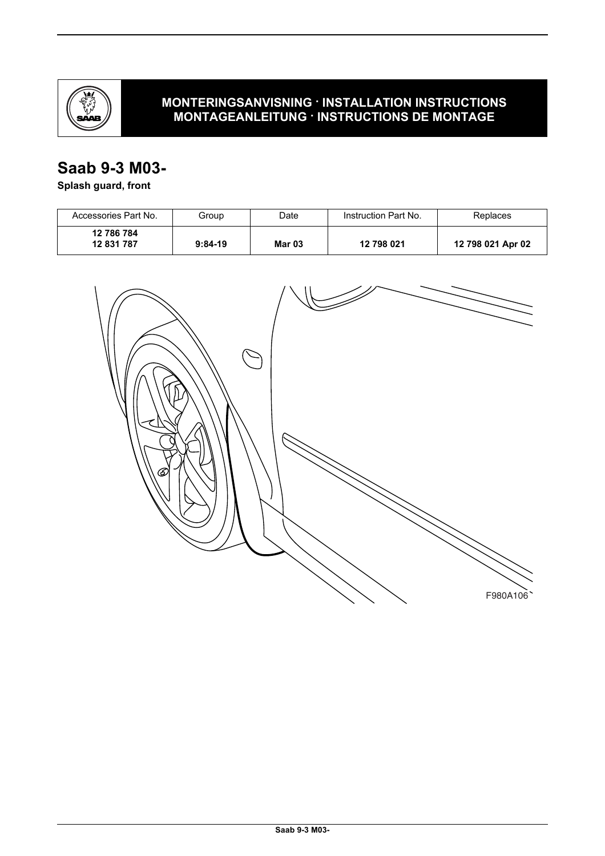

## **MONTERINGSANVISNING · INSTALLATION INSTRUCTIONS MONTAGEANLEITUNG · INSTRUCTIONS DE MONTAGE**

# **Saab 9-3 M03-**

# **Splash guard, front**

| Accessories Part No.     | Group     | Date          | Instruction Part No. | Replaces          |
|--------------------------|-----------|---------------|----------------------|-------------------|
| 12 786 784<br>12 831 787 | $9:84-19$ | <b>Mar 03</b> | 12 798 021           | 12 798 021 Apr 02 |

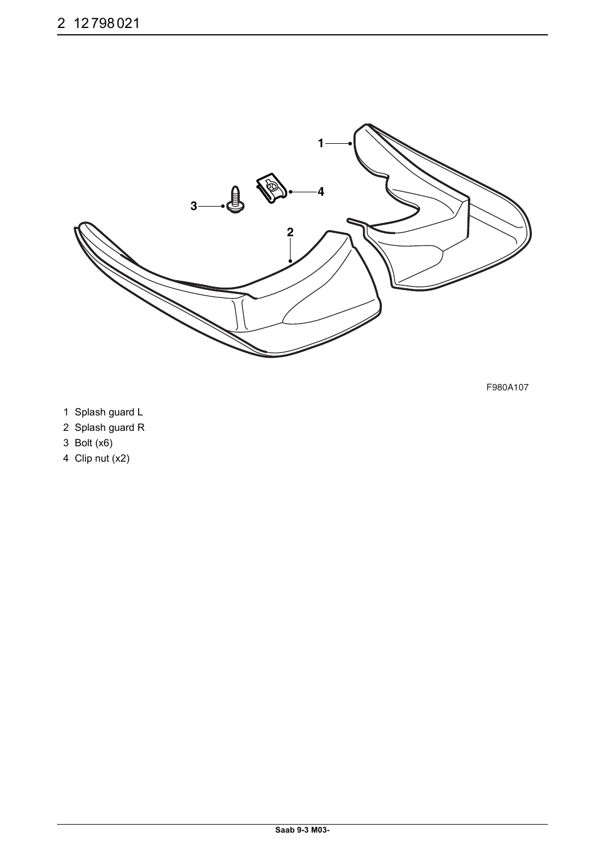

F980A107

- 1 Splash guard L
- 2 Splash guard R
- 3 Bolt (x6)
- 4 Clip nut (x2)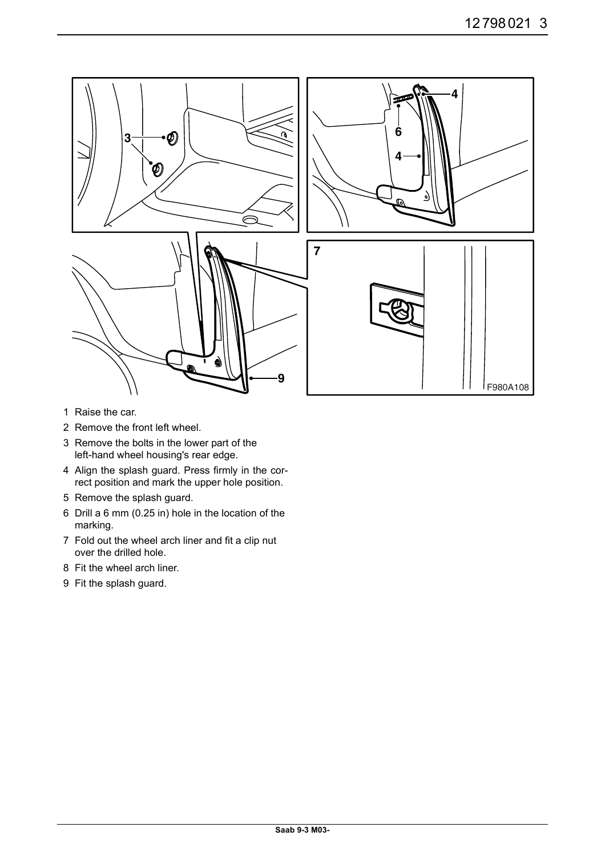

- 1 Raise the car.
- 2 Remove the front left wheel.
- 3 Remove the bolts in the lower part of the left-hand wheel housing's rear edge.
- 4 Align the splash guard. Press firmly in the correct position and mark the upper hole position.
- 5 Remove the splash guard.
- 6 Drill a 6 mm (0.25 in) hole in the location of the marking.
- 7 Fold out the wheel arch liner and fit a clip nut over the drilled hole.
- 8 Fit the wheel arch liner.
- 9 Fit the splash guard.